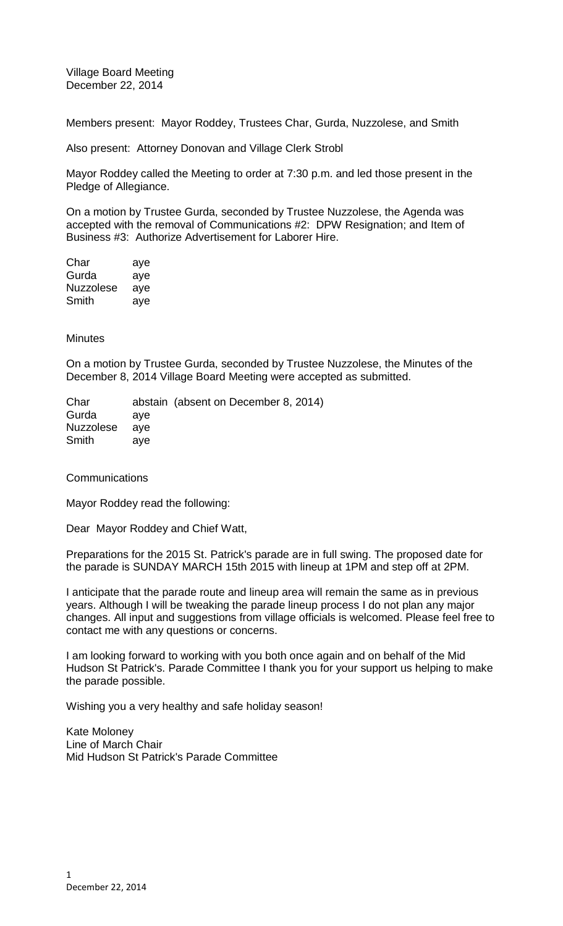Village Board Meeting December 22, 2014

Members present: Mayor Roddey, Trustees Char, Gurda, Nuzzolese, and Smith

Also present: Attorney Donovan and Village Clerk Strobl

Mayor Roddey called the Meeting to order at 7:30 p.m. and led those present in the Pledge of Allegiance.

On a motion by Trustee Gurda, seconded by Trustee Nuzzolese, the Agenda was accepted with the removal of Communications #2: DPW Resignation; and Item of Business #3: Authorize Advertisement for Laborer Hire.

| Char             | aye |
|------------------|-----|
| Gurda            | aye |
| <b>Nuzzolese</b> | aye |
| Smith            | aye |

## **Minutes**

On a motion by Trustee Gurda, seconded by Trustee Nuzzolese, the Minutes of the December 8, 2014 Village Board Meeting were accepted as submitted.

Char abstain (absent on December 8, 2014) Gurda aye Nuzzolese aye Smith aye

**Communications** 

Mayor Roddey read the following:

Dear Mayor Roddey and Chief Watt,

Preparations for the 2015 St. Patrick's parade are in full swing. The proposed date for the parade is SUNDAY MARCH 15th 2015 with lineup at 1PM and step off at 2PM.

I anticipate that the parade route and lineup area will remain the same as in previous years. Although I will be tweaking the parade lineup process I do not plan any major changes. All input and suggestions from village officials is welcomed. Please feel free to contact me with any questions or concerns.

I am looking forward to working with you both once again and on behalf of the Mid Hudson St Patrick's. Parade Committee I thank you for your support us helping to make the parade possible.

Wishing you a very healthy and safe holiday season!

Kate Moloney Line of March Chair Mid Hudson St Patrick's Parade Committee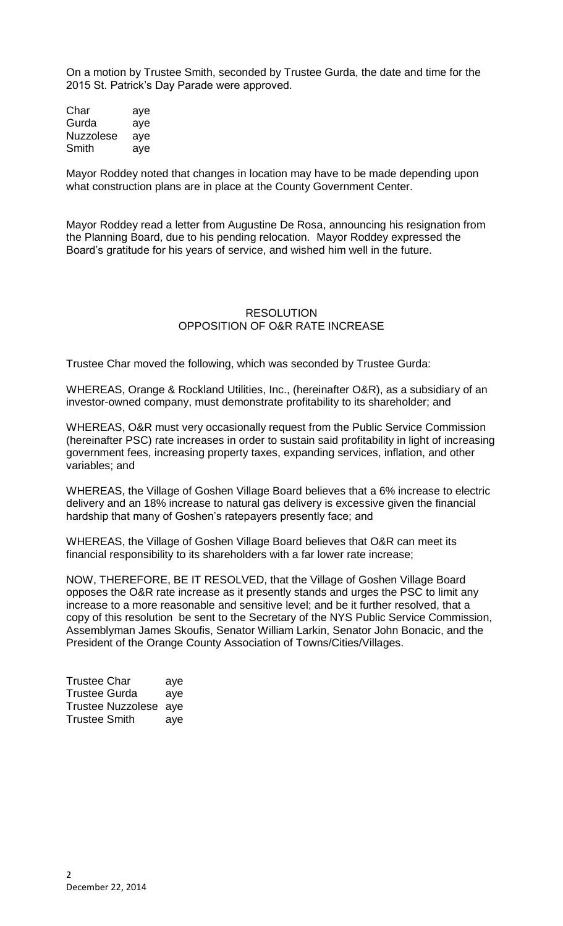On a motion by Trustee Smith, seconded by Trustee Gurda, the date and time for the 2015 St. Patrick's Day Parade were approved.

| Char      | aye |
|-----------|-----|
| Gurda     | aye |
| Nuzzolese | aye |
| Smith     | aye |

Mayor Roddey noted that changes in location may have to be made depending upon what construction plans are in place at the County Government Center.

Mayor Roddey read a letter from Augustine De Rosa, announcing his resignation from the Planning Board, due to his pending relocation. Mayor Roddey expressed the Board's gratitude for his years of service, and wished him well in the future.

## **RESOLUTION** OPPOSITION OF O&R RATE INCREASE

Trustee Char moved the following, which was seconded by Trustee Gurda:

WHEREAS, Orange & Rockland Utilities, Inc., (hereinafter O&R), as a subsidiary of an investor-owned company, must demonstrate profitability to its shareholder; and

WHEREAS, O&R must very occasionally request from the Public Service Commission (hereinafter PSC) rate increases in order to sustain said profitability in light of increasing government fees, increasing property taxes, expanding services, inflation, and other variables; and

WHEREAS, the Village of Goshen Village Board believes that a 6% increase to electric delivery and an 18% increase to natural gas delivery is excessive given the financial hardship that many of Goshen's ratepayers presently face; and

WHEREAS, the Village of Goshen Village Board believes that O&R can meet its financial responsibility to its shareholders with a far lower rate increase;

NOW, THEREFORE, BE IT RESOLVED, that the Village of Goshen Village Board opposes the O&R rate increase as it presently stands and urges the PSC to limit any increase to a more reasonable and sensitive level; and be it further resolved, that a copy of this resolution be sent to the Secretary of the NYS Public Service Commission, Assemblyman James Skoufis, Senator William Larkin, Senator John Bonacic, and the President of the Orange County Association of Towns/Cities/Villages.

| <b>Trustee Char</b>   | aye |
|-----------------------|-----|
| <b>Trustee Gurda</b>  | aye |
| Trustee Nuzzolese aye |     |
| <b>Trustee Smith</b>  | aye |